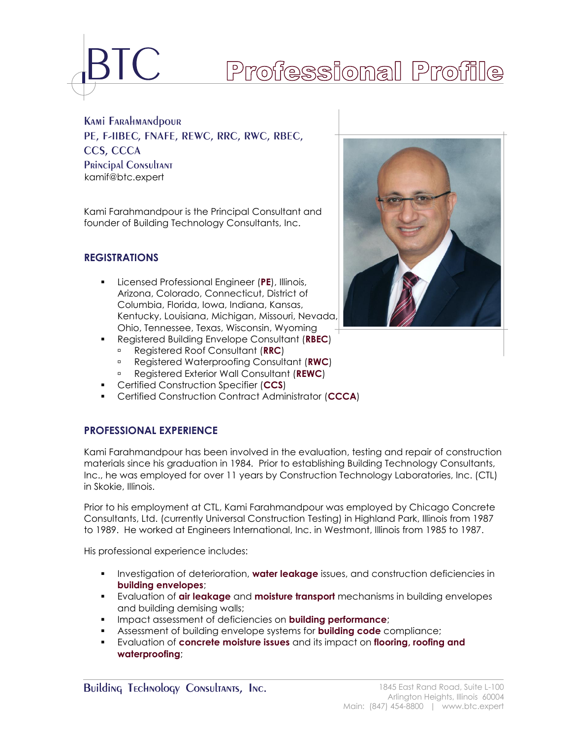

# Professional Profile

**KAMI FARAHMANDOUR** PE, F-IIBEC, FNAFE, REWC, RRC, RWC, RBEC, CCS, CCCA PRINCIPAL CONSULTANT [kamif@btc.expert](mailto:kamif@btc-pc.com)

Kami Farahmandpour is the Principal Consultant and founder of Building Technology Consultants, Inc.

# **REGISTRATIONS**

- Licensed Professional Engineer (**PE**), Illinois, Arizona, Colorado, Connecticut, District of Columbia, Florida, Iowa, Indiana, Kansas, Kentucky, Louisiana, Michigan, Missouri, Nevada, Ohio, Tennessee, Texas, Wisconsin, Wyoming
- Registered Building Envelope Consultant (**RBEC**)
	- Registered Roof Consultant (**RRC**)
	- Registered Waterproofing Consultant (**RWC**)
	- Registered Exterior Wall Consultant (**REWC**)
- Certified Construction Specifier (**CCS**)
- Certified Construction Contract Administrator (**CCCA**)

# **PROFESSIONAL EXPERIENCE**

Kami Farahmandpour has been involved in the evaluation, testing and repair of construction materials since his graduation in 1984. Prior to establishing Building Technology Consultants, Inc., he was employed for over 11 years by Construction Technology Laboratories, Inc. (CTL) in Skokie, Illinois.

Prior to his employment at CTL, Kami Farahmandpour was employed by Chicago Concrete Consultants, Ltd. (currently Universal Construction Testing) in Highland Park, Illinois from 1987 to 1989. He worked at Engineers International, Inc. in Westmont, Illinois from 1985 to 1987.

His professional experience includes:

- **EXECT** Investigation of deterioration, **water leakage** issues, and construction deficiencies in **building envelopes**;
- Evaluation of **air leakage** and **moisture transport** mechanisms in building envelopes and building demising walls;
- Impact assessment of deficiencies on **building performance**;
- Assessment of building envelope systems for **building code** compliance;
- Evaluation of **concrete moisture issues** and its impact on **flooring, roofing and waterproofing**;

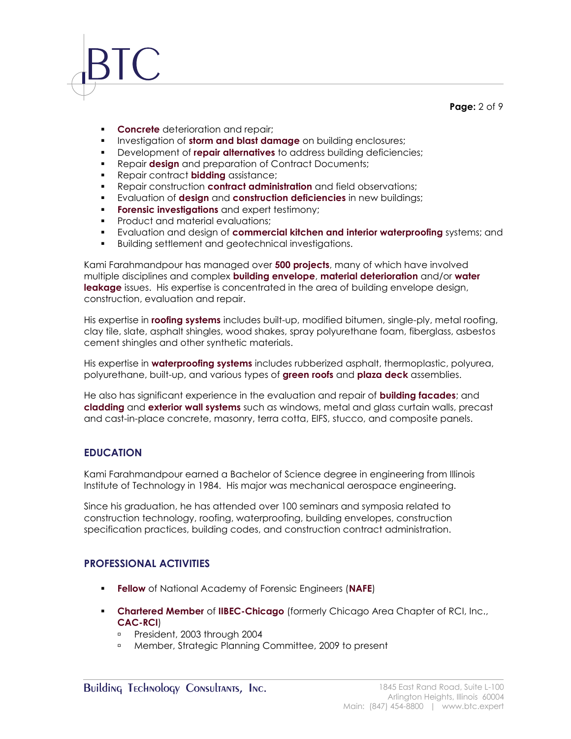### **Page:** 2 of 9

- **Concrete** deterioration and repair;
- **Investigation of storm and blast damage** on building enclosures;
- Development of **repair alternatives** to address building deficiencies;
- **Repair design** and preparation of Contract Documents;
- Repair contract **bidding** assistance;
- Repair construction **contract administration** and field observations;
- Evaluation of **design** and **construction deficiencies** in new buildings;
- **Forensic investigations** and expert testimony;
- **•** Product and material evaluations;
- Evaluation and design of **commercial kitchen and interior waterproofing** systems; and
- Building settlement and geotechnical investigations.

Kami Farahmandpour has managed over **500 projects**, many of which have involved multiple disciplines and complex **building envelope**, **material deterioration** and/or **water leakage** issues. His expertise is concentrated in the area of building envelope design, construction, evaluation and repair.

His expertise in **roofing systems** includes built-up, modified bitumen, single-ply, metal roofing, clay tile, slate, asphalt shingles, wood shakes, spray polyurethane foam, fiberglass, asbestos cement shingles and other synthetic materials.

His expertise in **waterproofing systems** includes rubberized asphalt, thermoplastic, polyurea, polyurethane, built-up, and various types of **green roofs** and **plaza deck** assemblies.

He also has significant experience in the evaluation and repair of **building facades**; and **cladding** and **exterior wall systems** such as windows, metal and glass curtain walls, precast and cast-in-place concrete, masonry, terra cotta, EIFS, stucco, and composite panels.

### **EDUCATION**

Kami Farahmandpour earned a Bachelor of Science degree in engineering from Illinois Institute of Technology in 1984. His major was mechanical aerospace engineering.

Since his graduation, he has attended over 100 seminars and symposia related to construction technology, roofing, waterproofing, building envelopes, construction specification practices, building codes, and construction contract administration.

### **PROFESSIONAL ACTIVITIES**

- **Fellow** of National Academy of Forensic Engineers (**NAFE**)
- **Chartered Member** of **IIBEC-Chicago** (formerly Chicago Area Chapter of RCI, Inc., **CAC-RCI**)
	- **President, 2003 through 2004**
	- Member, Strategic Planning Committee, 2009 to present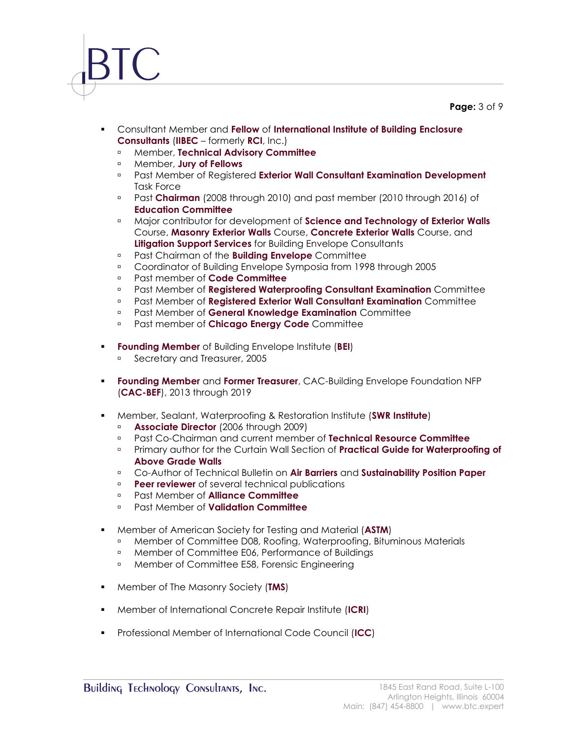### **Page:** 3 of 9

- Consultant Member and **Fellow** of **International Institute of Building Enclosure Consultants** (**IIBEC** – formerly **RCI**, Inc.)
	- Member, **Technical Advisory Committee**
	- Member, **Jury of Fellows**
	- Past Member of Registered **Exterior Wall Consultant Examination Development** Task Force
	- Past **Chairman** (2008 through 2010) and past member (2010 through 2016) of **Education Committee**
	- Major contributor for development of **Science and Technology of Exterior Walls** Course, **Masonry Exterior Walls** Course, **Concrete Exterior Walls** Course, and **Litigation Support Services** for Building Envelope Consultants
	- Past Chairman of the **Building Envelope** Committee
	- Coordinator of Building Envelope Symposia from 1998 through 2005
	- Past member of **Code Committee**
	- Past Member of **Registered Waterproofing Consultant Examination** Committee
	- Past Member of **Registered Exterior Wall Consultant Examination** Committee
	- Past Member of **General Knowledge Examination** Committee
	- Past member of **Chicago Energy Code** Committee
- **Founding Member** of Building Envelope Institute (**BEI**)
	- **Secretary and Treasurer, 2005**
- **Founding Member** and **Former Treasurer**, CAC-Building Envelope Foundation NFP (**CAC-BEF**), 2013 through 2019
- Member, Sealant, Waterproofing & Restoration Institute (**SWR Institute**)
	- **Associate Director** (2006 through 2009)<br>**Past Co-Chairman and current members**
	- Past Co-Chairman and current member of **Technical Resource Committee**
	- Primary author for the Curtain Wall Section of **Practical Guide for Waterproofing of Above Grade Walls**
	- Co-Author of Technical Bulletin on **Air Barriers** and **Sustainability Position Paper**
	- **Peer reviewer** of several technical publications
	- Past Member of **Alliance Committee**
	- Past Member of **Validation Committee**
- Member of American Society for Testing and Material (**ASTM**)
	- Member of Committee D08, Roofing, Waterproofing, Bituminous Materials
	- **Example 1** Member of Committee E06, Performance of Buildings
	- **Member of Committee E58, Forensic Engineering**
- Member of The Masonry Society (**TMS**)
- Member of International Concrete Repair Institute (**ICRI**)
- Professional Member of International Code Council (**ICC**)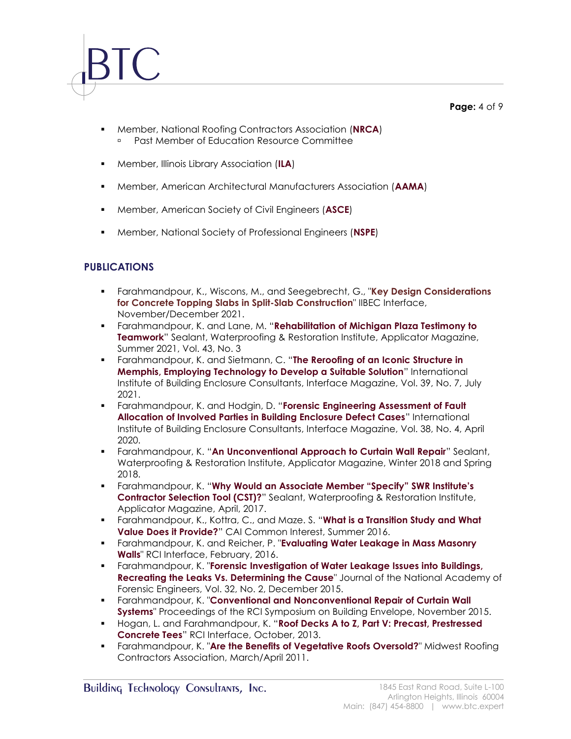**Page:** 4 of 9

- Member, National Roofing Contractors Association (**NRCA**) Past Member of Education Resource Committee
- Member, Illinois Library Association (**ILA**)
- Member, American Architectural Manufacturers Association (**AAMA**)
- Member, American Society of Civil Engineers (**ASCE**)
- Member, National Society of Professional Engineers (**NSPE**)

# **PUBLICATIONS**

- Farahmandpour, K., Wiscons, M., and Seegebrecht, G., "**Key Design Considerations for Concrete Topping Slabs in Split-Slab Construction**" IIBEC Interface, November/December 2021.
- Farahmandpour, K. and Lane, M. "**Rehabilitation of Michigan Plaza Testimony to Teamwork**" Sealant, Waterproofing & Restoration Institute, Applicator Magazine, Summer 2021, Vol. 43, No. 3
- Farahmandpour, K. and Sietmann, C. "**The Reroofing of an Iconic Structure in Memphis, Employing Technology to Develop a Suitable Solution**" International Institute of Building Enclosure Consultants, Interface Magazine, Vol. 39, No. 7, July 2021.
- Farahmandpour, K. and Hodgin, D. "**Forensic Engineering Assessment of Fault Allocation of Involved Parties in Building Enclosure Defect Cases**" International Institute of Building Enclosure Consultants, Interface Magazine, Vol. 38, No. 4, April 2020.
- Farahmandpour, K. "**An Unconventional Approach to Curtain Wall Repair**" Sealant, Waterproofing & Restoration Institute, Applicator Magazine, Winter 2018 and Spring 2018.
- Farahmandpour, K. "**Why Would an Associate Member "Specify" SWR Institute's Contractor Selection Tool (CST)?**" Sealant, Waterproofing & Restoration Institute, Applicator Magazine, April, 2017.
- Farahmandpour, K., Kottra, C., and Maze. S. "**What is a Transition Study and What Value Does it Provide?**" CAI Common Interest, Summer 2016.
- Farahmandpour, K. and Reicher, P. "**Evaluating Water Leakage in Mass Masonry Walls**" RCI Interface, February, 2016.
- Farahmandpour, K. "**Forensic Investigation of Water Leakage Issues into Buildings, Recreating the Leaks Vs. Determining the Cause**" Journal of the National Academy of Forensic Engineers, Vol. 32, No. 2, December 2015.
- Farahmandpour, K. "**Conventional and Nonconventional Repair of Curtain Wall Systems**" Proceedings of the RCI Symposium on Building Envelope, November 2015.
- Hogan, L. and Farahmandpour, K. "**Roof Decks A to Z, Part V: Precast, Prestressed Concrete Tees**" RCI Interface, October, 2013.
- **EXECT Arangelery Markedow Figure 1 and Trangeler Roofs Oversold?"** Midwest Roofing Contractors Association, March/April 2011.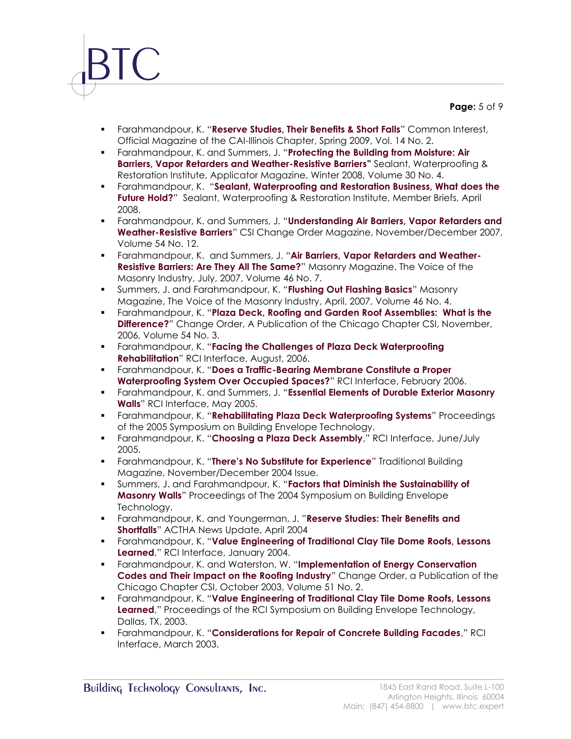**Page:** 5 of 9

- Farahmandpour, K. "**Reserve Studies, Their Benefits & Short Falls**" Common Interest, Official Magazine of the CAI-Illinois Chapter, Spring 2009, Vol. 14 No. 2.
- Farahmandpour, K. and Summers, J. "**Protecting the Building from Moisture: Air Barriers, Vapor Retarders and Weather-Resistive Barriers"** Sealant, Waterproofing & Restoration Institute, Applicator Magazine, Winter 2008, Volume 30 No. 4.
- Farahmandpour, K. "**Sealant, Waterproofing and Restoration Business, What does the Future Hold?**" Sealant, Waterproofing & Restoration Institute, Member Briefs, April 2008.
- Farahmandpour, K. and Summers, J. "**Understanding Air Barriers, Vapor Retarders and Weather-Resistive Barriers**" CSI Change Order Magazine, November/December 2007, Volume 54 No. 12.
- Farahmandpour, K. and Summers, J. "**Air Barriers, Vapor Retarders and Weather-Resistive Barriers: Are They All The Same?**" Masonry Magazine, The Voice of the Masonry Industry, July, 2007, Volume 46 No. 7.
- Summers, J. and Farahmandpour, K. "**Flushing Out Flashing Basics**" Masonry Magazine, The Voice of the Masonry Industry, April, 2007, Volume 46 No. 4.
- Farahmandpour, K. "**Plaza Deck, Roofing and Garden Roof Assemblies: What is the Difference?**" Change Order, A Publication of the Chicago Chapter CSI, November, 2006, Volume 54 No. 3.
- Farahmandpour, K. "**Facing the Challenges of Plaza Deck Waterproofing Rehabilitation**" RCI Interface, August, 2006.
- Farahmandpour, K. "**Does a Traffic-Bearing Membrane Constitute a Proper Waterproofing System Over Occupied Spaces?**" RCI Interface, February 2006.
- Farahmandpour, K. and Summers, J. "**Essential Elements of Durable Exterior Masonry Walls**" RCI Interface, May 2005.
- Farahmandpour, K. "**Rehabilitating Plaza Deck Waterproofing Systems**" Proceedings of the 2005 Symposium on Building Envelope Technology.
- Farahmandpour, K. "**Choosing a Plaza Deck Assembly**," RCI Interface, June/July 2005.
- Farahmandpour, K. "**There's No Substitute for Experience**" Traditional Building Magazine, November/December 2004 Issue.
- Summers, J. and Farahmandpour, K. "**Factors that Diminish the Sustainability of Masonry Walls**" Proceedings of The 2004 Symposium on Building Envelope Technology.
- Farahmandpour, K. and Youngerman, J. "**Reserve Studies: Their Benefits and Shortfalls**" ACTHA News Update, April 2004
- Farahmandpour, K. "**Value Engineering of Traditional Clay Tile Dome Roofs, Lessons Learned**," RCI Interface, January 2004.
- Farahmandpour, K. and Waterston, W. "**Implementation of Energy Conservation Codes and Their Impact on the Roofing Industry**" Change Order, a Publication of the Chicago Chapter CSI, October 2003, Volume 51 No. 2.
- Farahmandpour, K. "**Value Engineering of Traditional Clay Tile Dome Roofs, Lessons Learned**," Proceedings of the RCI Symposium on Building Envelope Technology, Dallas, TX, 2003.
- Farahmandpour, K. "**Considerations for Repair of Concrete Building Facades**," RCI Interface, March 2003.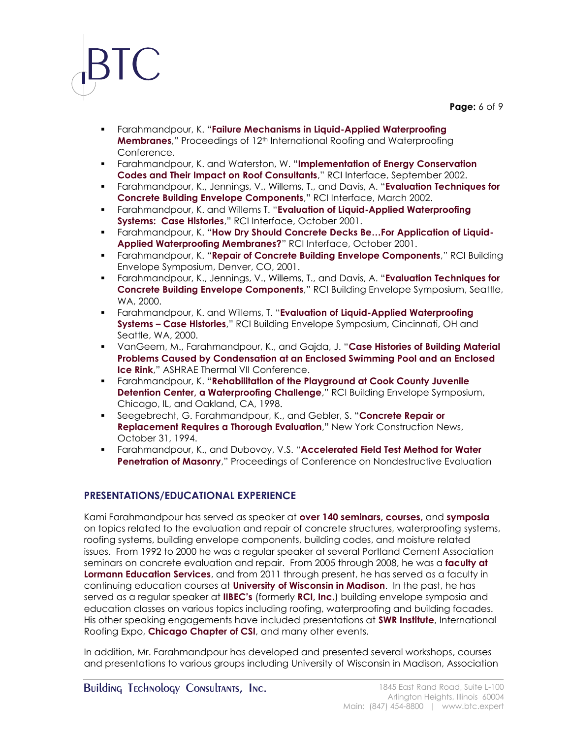**Page:** 6 of 9

- Farahmandpour, K. "**Failure Mechanisms in Liquid-Applied Waterproofing Membranes**," Proceedings of 12<sup>th</sup> International Roofing and Waterproofing Conference.
- Farahmandpour, K. and Waterston, W. "**Implementation of Energy Conservation Codes and Their Impact on Roof Consultants**," RCI Interface, September 2002.
- Farahmandpour, K., Jennings, V., Willems, T., and Davis, A. "**Evaluation Techniques for Concrete Building Envelope Components**," RCI Interface, March 2002.
- Farahmandpour, K. and Willems T. "**Evaluation of Liquid-Applied Waterproofing Systems: Case Histories**," RCI Interface, October 2001.
- Farahmandpour, K. "**How Dry Should Concrete Decks Be…For Application of Liquid-Applied Waterproofing Membranes?**" RCI Interface, October 2001.
- Farahmandpour, K. "**Repair of Concrete Building Envelope Components**," RCI Building Envelope Symposium, Denver, CO, 2001.
- Farahmandpour, K., Jennings, V., Willems, T., and Davis, A. "**Evaluation Techniques for Concrete Building Envelope Components**," RCI Building Envelope Symposium, Seattle, WA, 2000.
- Farahmandpour, K. and Willems, T. "**Evaluation of Liquid-Applied Waterproofing Systems – Case Histories**," RCI Building Envelope Symposium, Cincinnati, OH and Seattle, WA, 2000.
- VanGeem, M., Farahmandpour, K., and Gajda, J. "**Case Histories of Building Material Problems Caused by Condensation at an Enclosed Swimming Pool and an Enclosed Ice Rink**," ASHRAE Thermal VII Conference.
- Farahmandpour, K. "**Rehabilitation of the Playground at Cook County Juvenile Detention Center, a Waterproofing Challenge**," RCI Building Envelope Symposium, Chicago, IL, and Oakland, CA, 1998.
- Seegebrecht, G. Farahmandpour, K., and Gebler, S. "**Concrete Repair or Replacement Requires a Thorough Evaluation**," New York Construction News, October 31, 1994.
- Farahmandpour, K., and Dubovoy, V.S. "**Accelerated Field Test Method for Water Penetration of Masonry**," Proceedings of Conference on Nondestructive Evaluation

# **PRESENTATIONS/EDUCATIONAL EXPERIENCE**

Kami Farahmandpour has served as speaker at **over 140 seminars, courses,** and **symposia** on topics related to the evaluation and repair of concrete structures, waterproofing systems, roofing systems, building envelope components, building codes, and moisture related issues. From 1992 to 2000 he was a regular speaker at several Portland Cement Association seminars on concrete evaluation and repair. From 2005 through 2008, he was a **faculty at Lormann Education Services**, and from 2011 through present, he has served as a faculty in continuing education courses at **University of Wisconsin in Madison**. In the past, he has served as a regular speaker at **IIBEC's** (formerly **RCI, Inc.**) building envelope symposia and education classes on various topics including roofing, waterproofing and building facades. His other speaking engagements have included presentations at **SWR Institute**, International Roofing Expo, **Chicago Chapter of CSI**, and many other events.

In addition, Mr. Farahmandpour has developed and presented several workshops, courses and presentations to various groups including University of Wisconsin in Madison, Association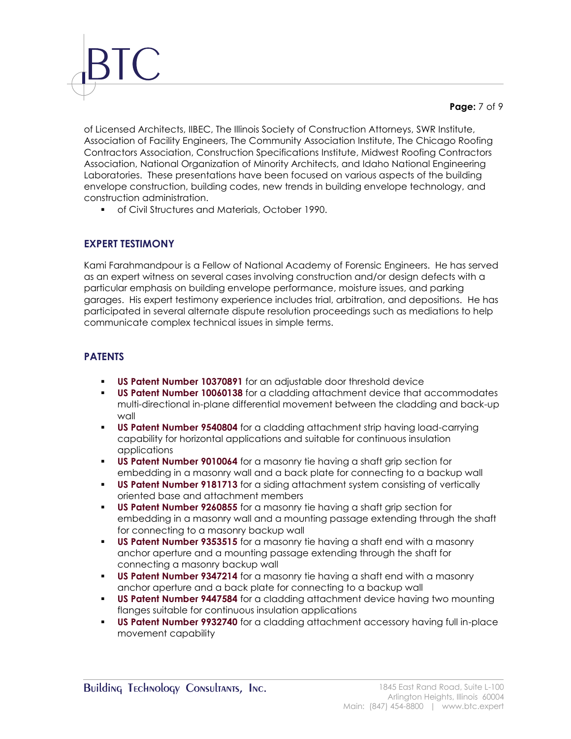### **Page:** 7 of 9

of Licensed Architects, IIBEC, The Illinois Society of Construction Attorneys, SWR Institute, Association of Facility Engineers, The Community Association Institute, The Chicago Roofing Contractors Association, Construction Specifications Institute, Midwest Roofing Contractors Association, National Organization of Minority Architects, and Idaho National Engineering Laboratories. These presentations have been focused on various aspects of the building envelope construction, building codes, new trends in building envelope technology, and construction administration.

■ of Civil Structures and Materials, October 1990.

### **EXPERT TESTIMONY**

Kami Farahmandpour is a Fellow of National Academy of Forensic Engineers. He has served as an expert witness on several cases involving construction and/or design defects with a particular emphasis on building envelope performance, moisture issues, and parking garages. His expert testimony experience includes trial, arbitration, and depositions. He has participated in several alternate dispute resolution proceedings such as mediations to help communicate complex technical issues in simple terms.

# **PATENTS**

- **US Patent Number 10370891** for an adjustable door threshold device
- **US Patent Number 10060138** for a cladding attachment device that accommodates multi-directional in-plane differential movement between the cladding and back-up wall
- **US Patent Number 9540804** for a cladding attachment strip having load-carrying capability for horizontal applications and suitable for continuous insulation applications
- **US Patent Number 9010064** for a masonry tie having a shaft grip section for embedding in a masonry wall and a back plate for connecting to a backup wall
- **US Patent Number 9181713** for a siding attachment system consisting of vertically oriented base and attachment members
- **US Patent Number 9260855** for a masonry tie having a shaft grip section for embedding in a masonry wall and a mounting passage extending through the shaft for connecting to a masonry backup wall
- **US Patent Number 9353515** for a masonry tie having a shaft end with a masonry anchor aperture and a mounting passage extending through the shaft for connecting a masonry backup wall
- **US Patent Number 9347214** for a masonry tie having a shaft end with a masonry anchor aperture and a back plate for connecting to a backup wall
- **US Patent Number 9447584** for a cladding attachment device having two mounting flanges suitable for continuous insulation applications
- **US Patent Number 9932740** for a cladding attachment accessory having full in-place movement capability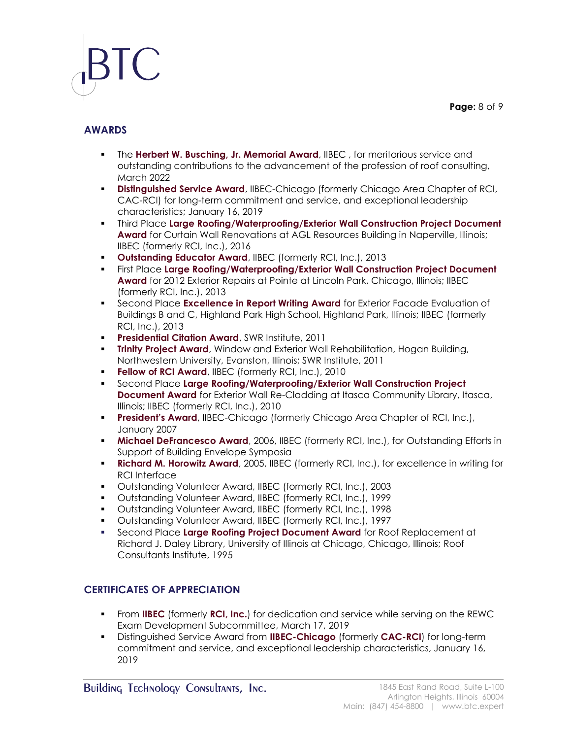**Page:** 8 of 9

# **AWARDS**

- **.** The **Herbert W. Busching, Jr. Memorial Award**, IIBEC, for meritorious service and outstanding contributions to the advancement of the profession of roof consulting, March 2022
- **EXECTIVE CONTERCT DISTING IN STATE OF STATE IN STATE OF SET ASSET IS NOT A FIGURE TO SET ASSET A FIGURE TO SET A** CAC-RCI) for long-term commitment and service, and exceptional leadership characteristics; January 16, 2019
- **.** Third Place Large Roofing/Waterproofing/Exterior Wall Construction Project Document **Award** for Curtain Wall Renovations at AGL Resources Building in Naperville, Illinois; IIBEC (formerly RCI, Inc.), 2016
- **Outstanding Educator Award**, IIBEC (formerly RCI, Inc.), 2013
- **Example 2 First Place Large Roofing/Waterproofing/Exterior Wall Construction Project Document Award** for 2012 Exterior Repairs at Pointe at Lincoln Park, Chicago, Illinois; IIBEC (formerly RCI, Inc.), 2013
- **EXECONDE Place Excellence in Report Writing Award** for Exterior Facade Evaluation of Buildings B and C, Highland Park High School, Highland Park, Illinois; IIBEC (formerly RCI, Inc.), 2013
- **Presidential Citation Award**, SWR Institute, 2011
- **Trinity Project Award**, Window and Exterior Wall Rehabilitation, Hogan Building, Northwestern University, Evanston, Illinois; SWR Institute, 2011
- **Fellow of RCI Award**, IIBEC (formerly RCI, Inc.), 2010
- Second Place **Large Roofing/Waterproofing/Exterior Wall Construction Project Document Award** for Exterior Wall Re-Cladding at Itasca Community Library, Itasca, Illinois; IIBEC (formerly RCI, Inc.), 2010
- **President's Award**, IIBEC-Chicago (formerly Chicago Area Chapter of RCI, Inc.), January 2007
- **Michael DeFrancesco Award**, 2006, IIBEC (formerly RCI, Inc.), for Outstanding Efforts in Support of Building Envelope Symposia
- **Richard M. Horowitz Award**, 2005, IIBEC (formerly RCI, Inc.), for excellence in writing for RCI Interface
- Outstanding Volunteer Award, IIBEC (formerly RCI, Inc.), 2003
- Outstanding Volunteer Award, IIBEC (formerly RCI, Inc.), 1999
- Outstanding Volunteer Award, IIBEC (formerly RCI, Inc.), 1998
- Outstanding Volunteer Award, IIBEC (formerly RCI, Inc.), 1997
- Second Place **Large Roofing Project Document Award** for Roof Replacement at Richard J. Daley Library, University of Illinois at Chicago, Chicago, Illinois; Roof Consultants Institute, 1995

# **CERTIFICATES OF APPRECIATION**

- From **IIBEC** (formerly **RCI, Inc.**) for dedication and service while serving on the REWC Exam Development Subcommittee, March 17, 2019
- Distinguished Service Award from **IIBEC-Chicago** (formerly **CAC-RCI**) for long-term commitment and service, and exceptional leadership characteristics, January 16, 2019